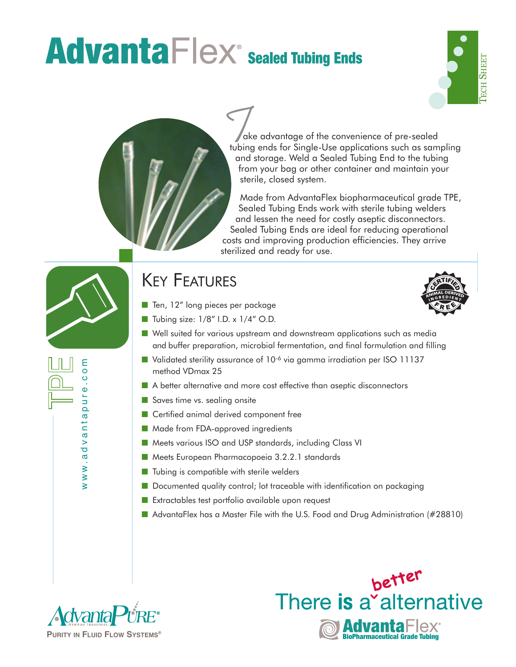## **AdvantaFlex Sealed Tubing Ends**





ake advantage of the convenience of pre-sealed tubing ends for Single-Use applications such as sampling and storage. Weld a Sealed Tubing End to the tubing from your bag or other container and maintain your sterile, closed system. Tubin<br>tubin<br>and

Made from AdvantaFlex biopharmaceutical grade TPE, Sealed Tubing Ends work with sterile tubing welders and lessen the need for costly aseptic disconnectors. Sealed Tubing Ends are ideal for reducing operational costs and improving production efficiencies. They arrive sterilized and ready for use.



www.advantapure.com

www.advanta

 $\circ$ ure  $\overline{\mathbf{Q}}$ 

## KEY FEATURES

■ Ten, 12" long pieces per package



- Tubing size: 1/8" I.D. x 1/4" O.D.
- Well suited for various upstream and downstream applications such as media and buffer preparation, microbial fermentation, and final formulation and filling
- Validated sterility assurance of 10<sup>-6</sup> via gamma irradiation per ISO 11137 method VDmax 25
- A better alternative and more cost effective than aseptic disconnectors
- Saves time vs. sealing onsite
- Certified animal derived component free
- Made from FDA-approved ingredients
- Meets various ISO and USP standards, including Class VI
- Meets European Pharmacopoeia 3.2.2.1 standards
- Tubing is compatible with sterile welders
- Documented quality control; lot traceable with identification on packaging
- Extractables test portfolio available upon request
- AdvantaFlex has a Master File with the U.S. Food and Drug Administration (#28810)